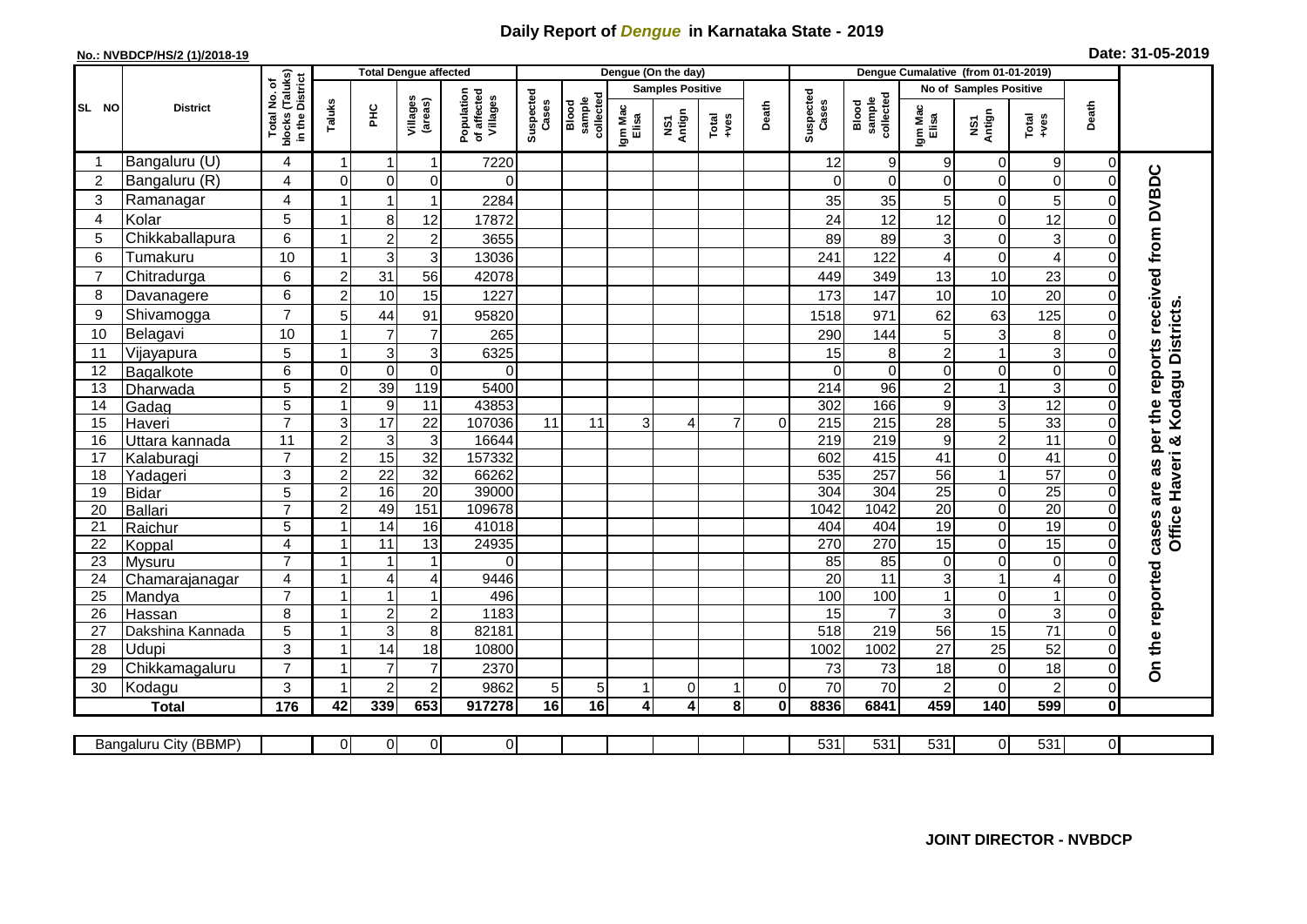## **Daily Report of** *Dengue* **in Karnataka State - 2019**

## **No.: NVBDCP/HS/2 (1)/2018-19**

| Date: 31-05-2019 |  |  |  |  |
|------------------|--|--|--|--|
|------------------|--|--|--|--|

|                 |                       |                                                 | <b>Total Dengue affected</b> |                 |                     |                                       |                    |                              |                  | Dengue (On the day)            |                 |             | Dengue Cumalative (from 01-01-2019) |                              |                  |                        |                                 |                |                                  |
|-----------------|-----------------------|-------------------------------------------------|------------------------------|-----------------|---------------------|---------------------------------------|--------------------|------------------------------|------------------|--------------------------------|-----------------|-------------|-------------------------------------|------------------------------|------------------|------------------------|---------------------------------|----------------|----------------------------------|
|                 |                       | ৳                                               |                              |                 |                     |                                       |                    |                              |                  | <b>Samples Positive</b>        |                 |             |                                     |                              |                  | No of Samples Positive |                                 |                |                                  |
| SL NO           | <b>District</b>       | blocks (Taluks)<br>in the District<br>Total No. | Taluks                       | ĔБ              | Villages<br>(areas) | Population<br>of affected<br>Villages | Suspected<br>Cases | collected<br>sample<br>Blood | Igm Mac<br>Elisa | Antign<br>$\mathbf{\tilde{s}}$ | Total<br>$-ves$ | Death       | Suspected<br>Cases                  | Blood<br>sample<br>collected | Igm Mac<br>Elisa | NS1<br>Antign          | Total<br>+ves                   | Death          |                                  |
|                 | Bangaluru (U)         | 4                                               |                              |                 |                     | 7220                                  |                    |                              |                  |                                |                 |             | 12                                  | 9                            | 9                | $\Omega$               | 9                               | $\Omega$       |                                  |
| $\overline{c}$  | Bangaluru (R)         | $\overline{\mathbf{4}}$                         | $\Omega$                     | $\overline{0}$  | 0                   | $\Omega$                              |                    |                              |                  |                                |                 |             | $\mathbf{0}$                        | $\Omega$                     | $\Omega$         | $\Omega$               | $\mathbf 0$                     |                |                                  |
| 3               | Ramanagar             | 4                                               |                              |                 |                     | 2284                                  |                    |                              |                  |                                |                 |             | 35                                  | 35                           | 5 <sup>1</sup>   | 0                      | 5                               |                | received from DVBDC              |
| 4               | Kolar                 | 5                                               |                              | 8               | 12                  | 17872                                 |                    |                              |                  |                                |                 |             | 24                                  | 12                           | 12               | $\Omega$               | 12                              |                |                                  |
| 5               | Chikkaballapura       | 6                                               |                              | $\overline{2}$  | $\overline{2}$      | 3655                                  |                    |                              |                  |                                |                 |             | 89                                  | 89                           | $\mathbf{3}$     | 0                      | $\ensuremath{\mathsf{3}}$       |                |                                  |
| 6               | Tumakuru              | 10                                              |                              | 3               | 3                   | 13036                                 |                    |                              |                  |                                |                 |             | 241                                 | 122                          | 4                | $\Omega$               | $\overline{4}$                  |                |                                  |
| $\overline{7}$  | Chitradurga           | 6                                               | $\overline{2}$               | 31              | 56                  | 42078                                 |                    |                              |                  |                                |                 |             | 449                                 | 349                          | 13               | 10                     | 23                              |                |                                  |
| 8               | Davanagere            | 6                                               | $\overline{2}$               | 10              | 15                  | 1227                                  |                    |                              |                  |                                |                 |             | 173                                 | 147                          | 10               | 10                     | 20                              |                |                                  |
| 9               | Shivamogga            | $\overline{7}$                                  | 5                            | 44              | 91                  | 95820                                 |                    |                              |                  |                                |                 |             | 1518                                | 971                          | 62               | 63                     | 125                             |                | Office Haveri & Kodagu Districts |
| 10              | Belagavi              | 10                                              |                              | $\overline{7}$  | $\overline{7}$      | 265                                   |                    |                              |                  |                                |                 |             | 290                                 | 144                          | 5 <sup>1</sup>   | 3                      | 8                               |                |                                  |
| 11              | Vijayapura            | 5                                               |                              | 3               | 3                   | 6325                                  |                    |                              |                  |                                |                 |             | 15                                  | 8                            | $\overline{c}$   |                        | 3                               |                | reports                          |
| 12              | Bagalkote             | $\overline{6}$                                  | $\Omega$                     | $\overline{0}$  | $\mathbf 0$         | $\Omega$                              |                    |                              |                  |                                |                 |             | 0                                   | $\mathbf 0$                  | $\overline{0}$   | $\Omega$               | $\overline{0}$                  |                |                                  |
| 13              | Dharwada              | $\overline{5}$                                  | 2                            | 39              | 119                 | 5400                                  |                    |                              |                  |                                |                 |             | $\overline{214}$                    | 96                           | $\overline{2}$   |                        | $\overline{3}$                  |                |                                  |
| 14              | Gadag                 | $\overline{5}$                                  |                              | 9               | 11                  | 43853                                 |                    |                              |                  |                                |                 |             | 302                                 | 166                          | $\overline{9}$   | 3 <sup>1</sup>         | 12                              |                | the                              |
| 15              | Haveri                | $\overline{7}$                                  | 3                            | $\overline{17}$ | $\overline{22}$     | 107036                                | 11                 | 11                           | 3                | 4                              | $\overline{7}$  | $\Omega$    | $\overline{215}$                    | $\overline{215}$             | 28               | 5 <sup>1</sup>         | 33                              | 0              |                                  |
| 16              | Uttara kannada        | $\overline{11}$                                 | $\overline{2}$               | ω               | $\overline{3}$      | 16644                                 |                    |                              |                  |                                |                 |             | 219                                 | 219                          | $\overline{9}$   | $\overline{2}$         | 11                              |                | per                              |
| 17              | Kalaburagi            | $\overline{7}$                                  | $\overline{2}$               | 15              | $\overline{32}$     | 157332                                |                    |                              |                  |                                |                 |             | 602                                 | 415                          | 41               | $\Omega$               | $\overline{41}$                 |                | as                               |
| $\overline{18}$ | Yadageri              | $\overline{3}$                                  | $\overline{2}$               | $\overline{22}$ | 32                  | 66262                                 |                    |                              |                  |                                |                 |             | 535                                 | 257                          | $\overline{56}$  | $\overline{1}$         | 57                              |                |                                  |
| 19              | <b>Bidar</b>          | $\sqrt{5}$                                      | $\overline{2}$               | 16              | 20                  | 39000                                 |                    |                              |                  |                                |                 |             | 304                                 | 304                          | 25               | $\overline{O}$         | $\overline{25}$                 |                | are                              |
| 20              | <b>Ballari</b>        | $\overline{7}$                                  | $\overline{2}$               | 49              | 151                 | 109678                                |                    |                              |                  |                                |                 |             | 1042                                | 1042                         | 20               | $\Omega$               | $\overline{20}$                 |                |                                  |
| 21              | Raichur               | 5                                               |                              | 14              | 16                  | 41018                                 |                    |                              |                  |                                |                 |             | 404                                 | 404                          | 19               | $\Omega$               | 19                              |                | cases                            |
| $\overline{22}$ | Koppal                | $\overline{4}$                                  |                              | $\overline{11}$ | $\overline{13}$     | 24935                                 |                    |                              |                  |                                |                 |             | 270                                 | 270                          | 15               | $\Omega$               | 15                              | 0              |                                  |
| 23              | Mysuru                | $\overline{7}$                                  |                              | $\overline{1}$  |                     | $\Omega$                              |                    |                              |                  |                                |                 |             | 85                                  | 85                           | $\overline{0}$   | $\Omega$               | $\pmb{0}$                       |                |                                  |
| 24              | Chamarajanagar        | $\overline{4}$                                  |                              | $\overline{4}$  | $\overline{4}$      | 9446                                  |                    |                              |                  |                                |                 |             | $\overline{20}$                     | 11                           | 3 <sup>1</sup>   |                        | $\overline{4}$                  |                |                                  |
| 25              | Mandya                | $\overline{7}$                                  |                              | $\mathbf{1}$    |                     | 496                                   |                    |                              |                  |                                |                 |             | 100                                 | 100                          | $\mathbf{1}$     | 0                      | 1                               |                |                                  |
| 26              | Hassan                | $\overline{8}$                                  |                              | $\overline{2}$  | $\overline{c}$      | 1183                                  |                    |                              |                  |                                |                 |             | 15                                  | $\overline{7}$               | $\overline{3}$   | $\Omega$               | $\mathbf{3}$<br>$\overline{71}$ |                |                                  |
| 27              | Dakshina Kannada      | $\overline{5}$                                  |                              | ω               | 8                   | 82181                                 |                    |                              |                  |                                |                 |             | $\overline{518}$                    | 219                          | $\overline{56}$  | 15                     |                                 |                |                                  |
| 28              | Udupi                 | 3<br>$\overline{7}$                             |                              | 14              | 18                  | 10800                                 |                    |                              |                  |                                |                 |             | 1002                                | 1002                         | 27               | 25                     | 52                              |                | On the reported                  |
| 29              | Chikkamagaluru        |                                                 |                              | $\overline{7}$  | $\overline{7}$      | 2370                                  |                    |                              |                  |                                |                 |             | 73                                  | 73                           | 18               | 0                      | 18                              |                |                                  |
| 30              | Kodagu                | 3                                               |                              | $\overline{2}$  | $\overline{2}$      | 9862                                  | 5                  | 5                            | 1                | 0                              | 1               | $\mathbf 0$ | 70                                  | 70                           | $\overline{c}$   | $\Omega$               | $\overline{c}$                  | 0              |                                  |
|                 | <b>Total</b>          | 176                                             | 42                           | 339             | 653                 | 917278                                | 16                 | $\overline{16}$              | 4                | 4                              | 8               | $\bf{0}$    | 8836                                | 6841                         | 459              | 140                    | 599                             | $\mathbf{0}$   |                                  |
|                 | Bangaluru City (BBMP) |                                                 | 0                            | $\overline{0}$  | $\overline{0}$      | $\overline{0}$                        |                    |                              |                  |                                |                 |             | 531                                 | 531                          | 531              | $\overline{0}$         | 531                             | $\overline{0}$ |                                  |